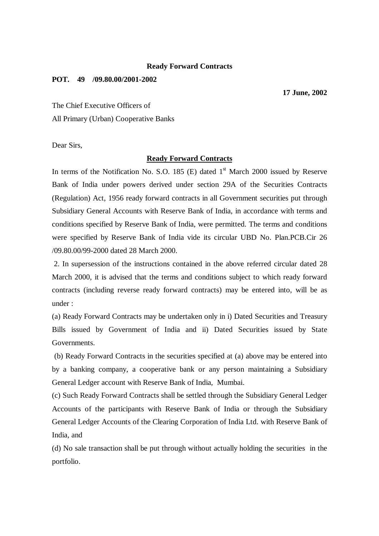## **Ready Forward Contracts**

## **POT. 49 /09.80.00/2001-2002**

**17 June, 2002**

The Chief Executive Officers of All Primary (Urban) Cooperative Banks

Dear Sirs,

## **Ready Forward Contracts**

In terms of the Notification No. S.O. 185 (E) dated  $1<sup>st</sup>$  March 2000 issued by Reserve Bank of India under powers derived under section 29A of the Securities Contracts (Regulation) Act, 1956 ready forward contracts in all Government securities put through Subsidiary General Accounts with Reserve Bank of India, in accordance with terms and conditions specified by Reserve Bank of India, were permitted. The terms and conditions were specified by Reserve Bank of India vide its circular UBD No. Plan.PCB.Cir 26 /09.80.00/99-2000 dated 28 March 2000.

 2. In supersession of the instructions contained in the above referred circular dated 28 March 2000, it is advised that the terms and conditions subject to which ready forward contracts (including reverse ready forward contracts) may be entered into, will be as under :

(a) Ready Forward Contracts may be undertaken only in i) Dated Securities and Treasury Bills issued by Government of India and ii) Dated Securities issued by State Governments.

 (b) Ready Forward Contracts in the securities specified at (a) above may be entered into by a banking company, a cooperative bank or any person maintaining a Subsidiary General Ledger account with Reserve Bank of India, Mumbai.

(c) Such Ready Forward Contracts shall be settled through the Subsidiary General Ledger Accounts of the participants with Reserve Bank of India or through the Subsidiary General Ledger Accounts of the Clearing Corporation of India Ltd. with Reserve Bank of India, and

(d) No sale transaction shall be put through without actually holding the securities in the portfolio.